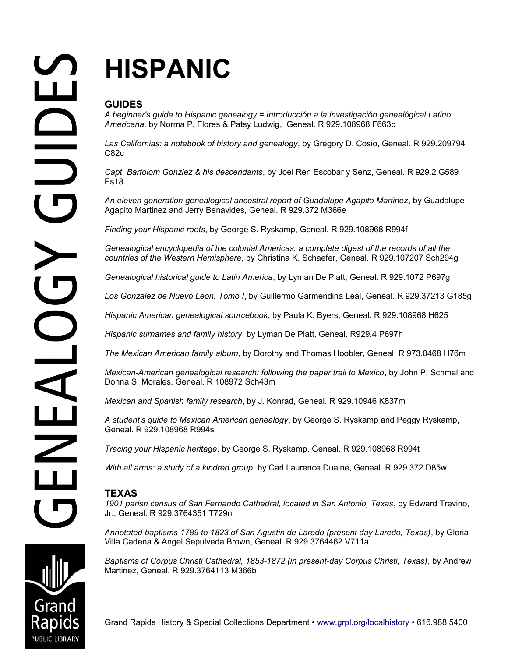# **HISPANIC**

# **GUIDES**

*A beginner's guide to Hispanic genealogy = Introducción a la investigación genealógical Latino Americana,* by Norma P. Flores & Patsy Ludwig, Geneal. R 929.108968 F663b

*Las Californias: a notebook of history and genealogy*, by Gregory D. Cosio, Geneal. R 929.209794 C82c

*Capt. Bartolom Gonzlez & his descendants*, by Joel Ren Escobar y Senz, Geneal. R 929.2 G589 Es18

*An eleven generation genealogical ancestral report of Guadalupe Agapito Martinez*, by Guadalupe Agapito Martinez and Jerry Benavides, Geneal. R 929.372 M366e

*Finding your Hispanic roots*, by George S. Ryskamp, Geneal. R 929.108968 R994f

*Genealogical encyclopedia of the colonial Americas: a complete digest of the records of all the countries of the Western Hemisphere*, by Christina K. Schaefer, Geneal. R 929.107207 Sch294g

*Genealogical historical guide to Latin America*, by Lyman De Platt, Geneal. R 929.1072 P697g

*Los Gonzalez de Nuevo Leon. Tomo I*, by Guillermo Garmendina Leal, Geneal. R 929.37213 G185g

*Hispanic American genealogical sourcebook*, by Paula K. Byers, Geneal. R 929.108968 H625

*Hispanic surnames and family history*, by Lyman De Platt, Geneal. R929.4 P697h

*The Mexican American family album*, by Dorothy and Thomas Hoobler, Geneal. R 973.0468 H76m

*Mexican-American genealogical research: following the paper trail to Mexico*, by John P. Schmal and Donna S. Morales, Geneal. R 108972 Sch43m

*Mexican and Spanish family research*, by J. Konrad, Geneal. R 929.10946 K837m

*A student's guide to Mexican American genealogy*, by George S. Ryskamp and Peggy Ryskamp, Geneal. R 929.108968 R994s

*Tracing your Hispanic heritage*, by George S. Ryskamp, Geneal. R 929.108968 R994t

*With all arms: a study of a kindred group*, by Carl Laurence Duaine, Geneal. R 929.372 D85w

## **TEXAS**

*1901 parish census of San Fernando Cathedral, located in San Antonio, Texas*, by Edward Trevino, Jr., Geneal. R 929.3764351 T729n

*Annotated baptisms 1789 to 1823 of San Agustin de Laredo (present day Laredo, Texas)*, by Gloria Villa Cadena & Angel Sepulveda Brown, Geneal. R 929.3764462 V711a

*Baptisms of Corpus Christi Cathedral, 1853-1872 (in present-day Corpus Christi, Texas)*, by Andrew Martinez, Geneal. R 929.3764113 M366b

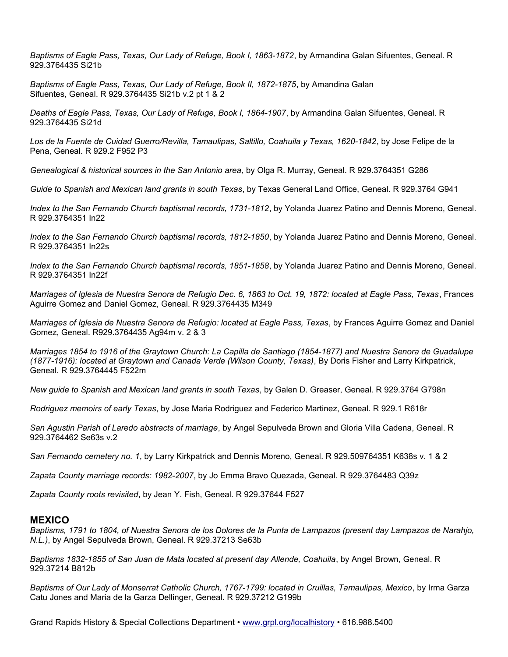*Baptisms of Eagle Pass, Texas, Our Lady of Refuge, Book I, 1863-1872*, by Armandina Galan Sifuentes, Geneal. R 929.3764435 Si21b

*Baptisms of Eagle Pass, Texas, Our Lady of Refuge, Book II, 1872-1875*, by Amandina Galan Sifuentes, Geneal. R 929.3764435 Si21b v.2 pt 1 & 2

*Deaths of Eagle Pass, Texas, Our Lady of Refuge, Book I, 1864-1907*, by Armandina Galan Sifuentes, Geneal. R 929.3764435 Si21d

*Los de la Fuente de Cuidad Guerro/Revilla, Tamaulipas, Saltillo, Coahuila y Texas, 1620-1842*, by Jose Felipe de la Pena, Geneal. R 929.2 F952 P3

*Genealogical & historical sources in the San Antonio area*, by Olga R. Murray, Geneal. R 929.3764351 G286

*Guide to Spanish and Mexican land grants in south Texas*, by Texas General Land Office, Geneal. R 929.3764 G941

*Index to the San Fernando Church baptismal records, 1731-1812*, by Yolanda Juarez Patino and Dennis Moreno, Geneal. R 929.3764351 In22

*Index to the San Fernando Church baptismal records, 1812-1850*, by Yolanda Juarez Patino and Dennis Moreno, Geneal. R 929.3764351 In22s

*Index to the San Fernando Church baptismal records, 1851-1858*, by Yolanda Juarez Patino and Dennis Moreno, Geneal. R 929.3764351 In22f

*Marriages of Iglesia de Nuestra Senora de Refugio Dec. 6, 1863 to Oct. 19, 1872: located at Eagle Pass, Texas*, Frances Aguirre Gomez and Daniel Gomez, Geneal. R 929.3764435 M349

*Marriages of Iglesia de Nuestra Senora de Refugio: located at Eagle Pass, Texas*, by Frances Aguirre Gomez and Daniel Gomez, Geneal. R929.3764435 Ag94m v. 2 & 3

*Marriages 1854 to 1916 of the Graytown Church: La Capilla de Santiago (1854-1877) and Nuestra Senora de Guadalupe (1877-1916): located at Graytown and Canada Verde (Wilson County, Texas)*, By Doris Fisher and Larry Kirkpatrick, Geneal. R 929.3764445 F522m

*New guide to Spanish and Mexican land grants in south Texas*, by Galen D. Greaser, Geneal. R 929.3764 G798n

*Rodriguez memoirs of early Texas*, by Jose Maria Rodriguez and Federico Martinez, Geneal. R 929.1 R618r

*San Agustin Parish of Laredo abstracts of marriage*, by Angel Sepulveda Brown and Gloria Villa Cadena, Geneal. R 929.3764462 Se63s v.2

*San Fernando cemetery no. 1*, by Larry Kirkpatrick and Dennis Moreno, Geneal. R 929.509764351 K638s v. 1 & 2

*Zapata County marriage records: 1982-2007*, by Jo Emma Bravo Quezada, Geneal. R 929.3764483 Q39z

*Zapata County roots revisited*, by Jean Y. Fish, Geneal. R 929.37644 F527

#### **MEXICO**

*Baptisms, 1791 to 1804, of Nuestra Senora de los Dolores de la Punta de Lampazos (present day Lampazos de Narahjo, N.L.)*, by Angel Sepulveda Brown, Geneal. R 929.37213 Se63b

*Baptisms 1832-1855 of San Juan de Mata located at present day Allende, Coahuila*, by Angel Brown, Geneal. R 929.37214 B812b

*Baptisms of Our Lady of Monserrat Catholic Church, 1767-1799: located in Cruillas, Tamaulipas, Mexico*, by Irma Garza Catu Jones and Maria de la Garza Dellinger, Geneal. R 929.37212 G199b

Grand Rapids History & Special Collections Department • [www.grpl.org/localhistory](http://www.grpl.org/localhistory) • 616.988.5400